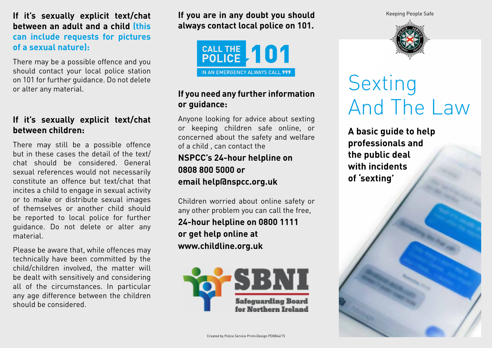#### If it's sexually explicit text/chat lf you are in any doubt you should **Keeping People Safe between an adult and a child (this can include requests for pictures of a sexual nature):**

There may be a possible offence and you should contact your local police station on 101 for further guidance. Do not delete or alter any material.

#### **If it's sexually explicit text/chat between children:**

There may still be a possible offence but in these cases the detail of the text/ chat should be considered. General sexual references would not necessarily constitute an offence but text/chat that incites a child to engage in sexual activity or to make or distribute sexual images of themselves or another child should be reported to local police for further guidance. Do not delete or alter any material.

Please be aware that, while offences may technically have been committed by the child/children involved, the matter will be dealt with sensitively and considering all of the circumstances. In particular any age difference between the children should be considered.

**If you are in any doubt you should always contact local police on 101.** 



#### **If you need any further information or guidance:**

Anyone looking for advice about sexting or keeping children safe online, or concerned about the safety and welfare of a child , can contact the

## **NSPCC's 24-hour helpline on 0808 800 5000 or email help@nspcc.org.uk**

Children worried about online safety or any other problem you can call the free, **24-hour helpline on 0800 1111 or get help online at www.childline.org.uk**





# Sexting And The Law

**A basic guide to help professionals and the public deal with incidents of 'sexting'**